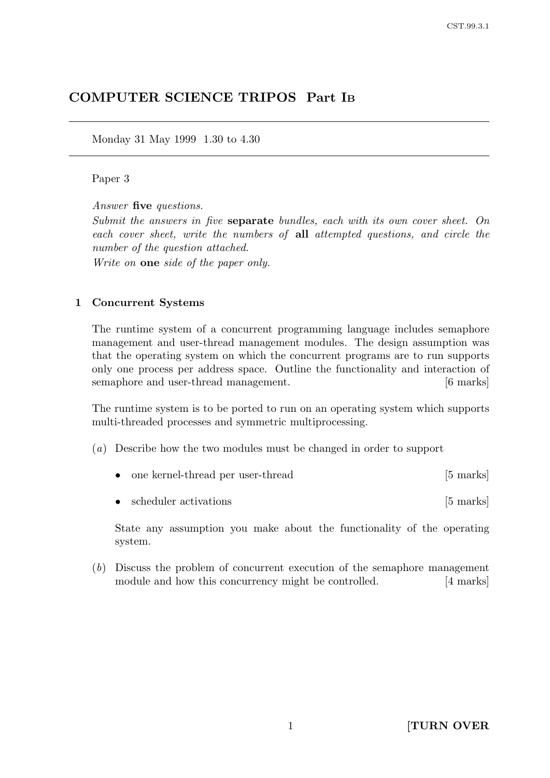# COMPUTER SCIENCE TRIPOS Part I<sup>B</sup>

Monday 31 May 1999 1.30 to 4.30

### Paper 3

Answer five questions.

Submit the answers in five separate bundles, each with its own cover sheet. On each cover sheet, write the numbers of all attempted questions, and circle the number of the question attached.

Write on **one** side of the paper only.

#### 1 Concurrent Systems

The runtime system of a concurrent programming language includes semaphore management and user-thread management modules. The design assumption was that the operating system on which the concurrent programs are to run supports only one process per address space. Outline the functionality and interaction of semaphore and user-thread management. [6 marks]

The runtime system is to be ported to run on an operating system which supports multi-threaded processes and symmetric multiprocessing.

- (a) Describe how the two modules must be changed in order to support
	- one kernel-thread per user-thread [5 marks]
	- scheduler activations [5 marks]

State any assumption you make about the functionality of the operating system.

(b) Discuss the problem of concurrent execution of the semaphore management module and how this concurrency might be controlled. [4 marks]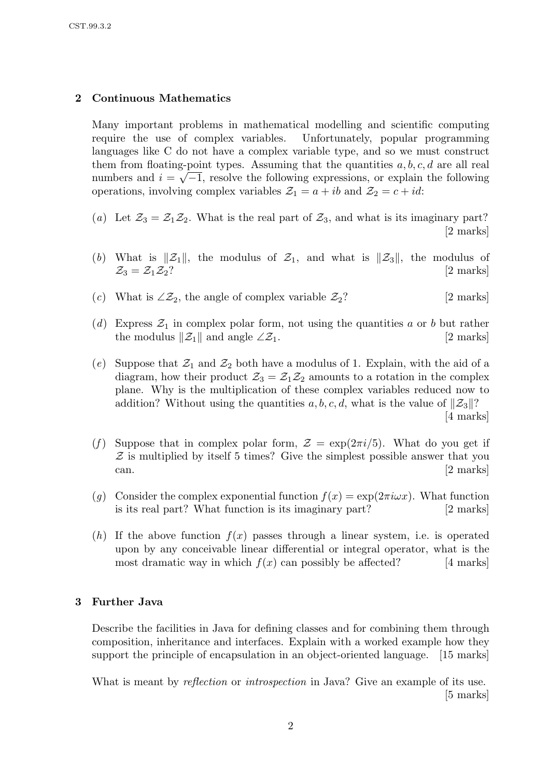### 2 Continuous Mathematics

Many important problems in mathematical modelling and scientific computing require the use of complex variables. Unfortunately, popular programming languages like C do not have a complex variable type, and so we must construct them from floating-point types. Assuming that the quantities  $a, b, c, d$  are all real numbers and  $i = \sqrt{-1}$ , resolve the following expressions, or explain the following operations, involving complex variables  $\mathcal{Z}_1 = a + ib$  and  $\mathcal{Z}_2 = c + id$ :

- (a) Let  $\mathcal{Z}_3 = \mathcal{Z}_1 \mathcal{Z}_2$ . What is the real part of  $\mathcal{Z}_3$ , and what is its imaginary part? [2 marks]
- (b) What is  $\|\mathcal{Z}_1\|$ , the modulus of  $\mathcal{Z}_1$ , and what is  $\|\mathcal{Z}_3\|$ , the modulus of  $\mathcal{Z}_3 = \mathcal{Z}_1 \mathcal{Z}_2$ ? [2 marks]
- (c) What is  $\angle z_2$ , the angle of complex variable  $z_2$ ? [2 marks]
- (d) Express  $\mathcal{Z}_1$  in complex polar form, not using the quantities a or b but rather the modulus  $\|\mathcal{Z}_1\|$  and angle ∠ $\mathcal{Z}_1$ . [2 marks]
- (e) Suppose that  $\mathcal{Z}_1$  and  $\mathcal{Z}_2$  both have a modulus of 1. Explain, with the aid of a diagram, how their product  $\mathcal{Z}_3 = \mathcal{Z}_1 \mathcal{Z}_2$  amounts to a rotation in the complex plane. Why is the multiplication of these complex variables reduced now to addition? Without using the quantities  $a, b, c, d$ , what is the value of  $||Z_3||$ ? [4 marks]
- (f) Suppose that in complex polar form,  $\mathcal{Z} = \exp(2\pi i/5)$ . What do you get if  $Z$  is multiplied by itself 5 times? Give the simplest possible answer that you can. [2 marks]
- (q) Consider the complex exponential function  $f(x) = \exp(2\pi i \omega x)$ . What function is its real part? What function is its imaginary part? [2 marks]
- (h) If the above function  $f(x)$  passes through a linear system, i.e. is operated upon by any conceivable linear differential or integral operator, what is the most dramatic way in which  $f(x)$  can possibly be affected? [4 marks]

### 3 Further Java

Describe the facilities in Java for defining classes and for combining them through composition, inheritance and interfaces. Explain with a worked example how they support the principle of encapsulation in an object-oriented language. [15 marks]

What is meant by *reflection* or *introspection* in Java? Give an example of its use. [5 marks]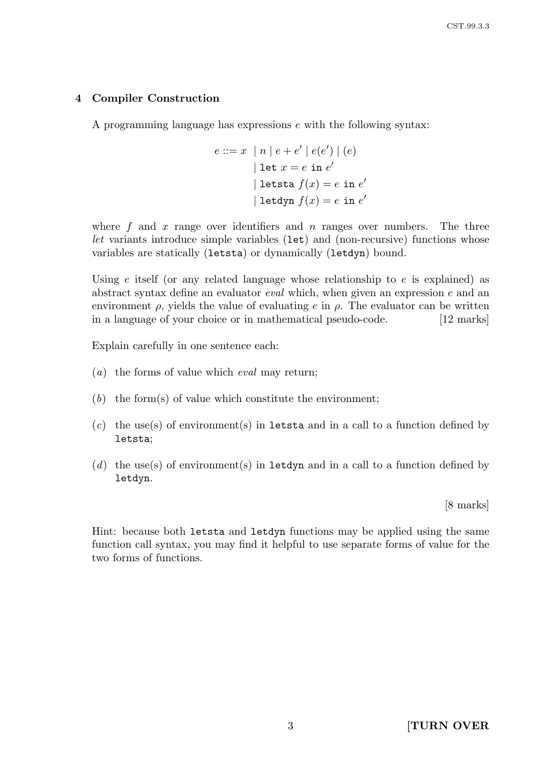### 4 Compiler Construction

A programming language has expressions e with the following syntax:

$$
e ::= x \mid n \mid e + e' \mid e(e') \mid (e)
$$
  

$$
|\text{ let } x = e \text{ in } e'
$$
  

$$
|\text{ let } f(x) = e \text{ in } e'
$$
  

$$
|\text{ let } f(x) = e \text{ in } e'
$$

where  $f$  and  $x$  range over identifiers and  $n$  ranges over numbers. The three let variants introduce simple variables (1et) and (non-recursive) functions whose variables are statically (letsta) or dynamically (letdyn) bound.

Using  $e$  itself (or any related language whose relationship to  $e$  is explained) as abstract syntax define an evaluator eval which, when given an expression e and an environment  $\rho$ , yields the value of evaluating e in  $\rho$ . The evaluator can be written in a language of your choice or in mathematical pseudo-code. [12 marks]

Explain carefully in one sentence each:

- $(a)$  the forms of value which *eval* may return;
- $(b)$  the form(s) of value which constitute the environment;
- $(c)$  the use(s) of environment(s) in letsta and in a call to a function defined by letsta;
- (d) the use(s) of environment(s) in letdyn and in a call to a function defined by letdyn.

[8 marks]

Hint: because both letsta and letdyn functions may be applied using the same function call syntax, you may find it helpful to use separate forms of value for the two forms of functions.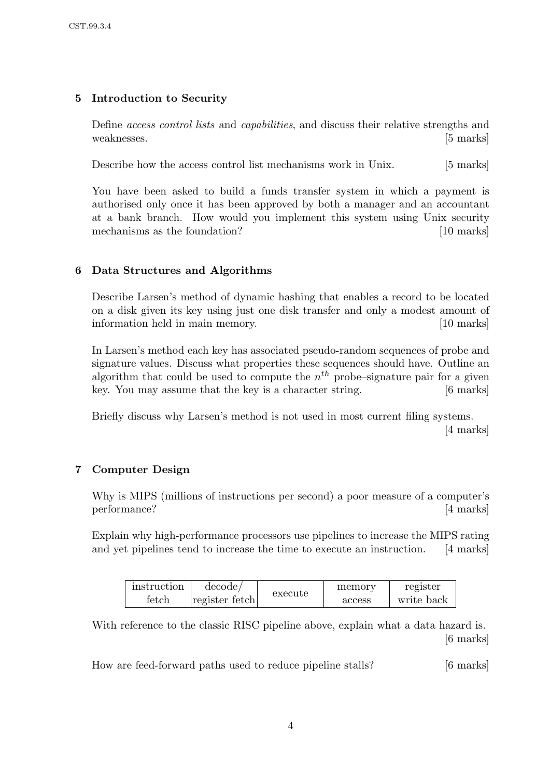# 5 Introduction to Security

Define access control lists and capabilities, and discuss their relative strengths and weaknesses. [5 marks]

Describe how the access control list mechanisms work in Unix. [5 marks]

You have been asked to build a funds transfer system in which a payment is authorised only once it has been approved by both a manager and an accountant at a bank branch. How would you implement this system using Unix security mechanisms as the foundation? [10 marks]

# 6 Data Structures and Algorithms

Describe Larsen's method of dynamic hashing that enables a record to be located on a disk given its key using just one disk transfer and only a modest amount of information held in main memory. [10 marks]

In Larsen's method each key has associated pseudo-random sequences of probe and signature values. Discuss what properties these sequences should have. Outline an algorithm that could be used to compute the  $n^{th}$  probe–signature pair for a given key. You may assume that the key is a character string. [6 marks]

Briefly discuss why Larsen's method is not used in most current filing systems. [4 marks]

### 7 Computer Design

Why is MIPS (millions of instructions per second) a poor measure of a computer's performance? [4 marks]

Explain why high-performance processors use pipelines to increase the MIPS rating and yet pipelines tend to increase the time to execute an instruction. [4 marks]

| instruction | decode/        | execute | memory | register   |
|-------------|----------------|---------|--------|------------|
| fetch       | register fetch |         | access | write back |

With reference to the classic RISC pipeline above, explain what a data hazard is. [6 marks]

How are feed-forward paths used to reduce pipeline stalls? [6 marks]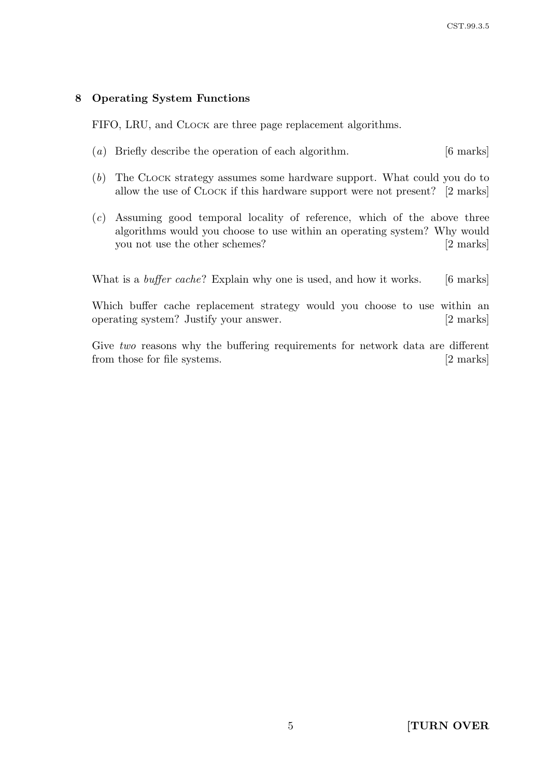## 8 Operating System Functions

FIFO, LRU, and CLOCK are three page replacement algorithms.

- (a) Briefly describe the operation of each algorithm. [6 marks]
- (b) The CLOCK strategy assumes some hardware support. What could you do to allow the use of CLOCK if this hardware support were not present? [2 marks]
- $(c)$  Assuming good temporal locality of reference, which of the above three algorithms would you choose to use within an operating system? Why would you not use the other schemes? [2 marks]

What is a *buffer cache*? Explain why one is used, and how it works. [6 marks]

Which buffer cache replacement strategy would you choose to use within an operating system? Justify your answer. [2 marks]

Give two reasons why the buffering requirements for network data are different from those for file systems. [2 marks]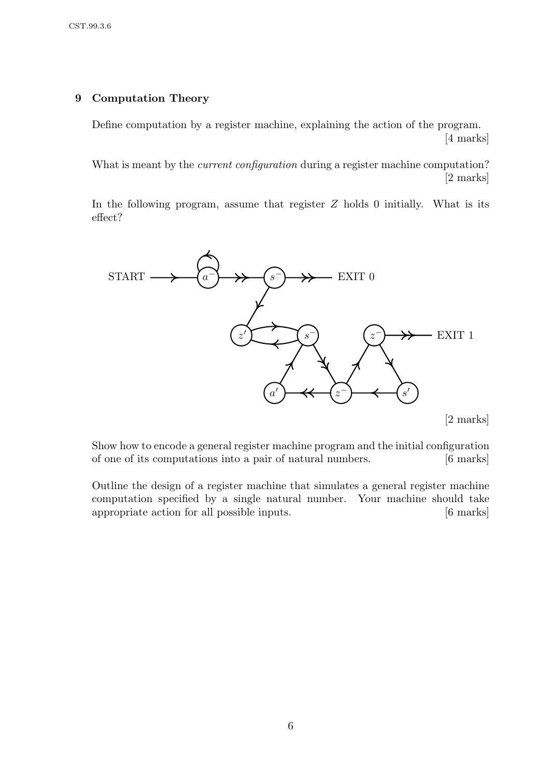### 9 Computation Theory

Define computation by a register machine, explaining the action of the program. [4 marks]

What is meant by the *current configuration* during a register machine computation? [2 marks]

In the following program, assume that register  $Z$  holds 0 initially. What is its effect?



[2 marks]

Show how to encode a general register machine program and the initial configuration of one of its computations into a pair of natural numbers. [6 marks]

Outline the design of a register machine that simulates a general register machine computation specified by a single natural number. Your machine should take appropriate action for all possible inputs. [6 marks]